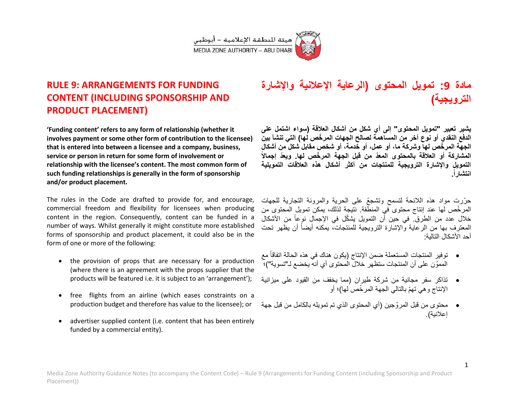

## **RULE 9: ARRANGEMENTS FOR FUNDING CONTENT (INCLUDING SPONSORSHIP AND PRODUCT PLACEMENT)**

**'Funding content' refers to any form of relationship (whether it involves payment or some other form of contribution to the licensee) that is entered into between a licensee and a company, business, service or person in return for some form of involvement or relationship with the licensee's content. The most common form of such funding relationships is generally in the form of sponsorship and/or product placement.**

The rules in the Code are drafted to provide for, and encourage, commercial freedom and flexibility for licensees when producing content in the region. Consequently, content can be funded in a number of ways. Whilst generally it might constitute more established forms of sponsorship and product placement, it could also be in the form of one or more of the following:

- the provision of props that are necessary for a production (where there is an agreement with the props supplier that the products will be featured i.e. it is subject to an 'arrangement');
- free flights from an airline (which eases constraints on a production budget and therefore has value to the licensee); or
- advertiser supplied content (i.e. content that has been entirely funded by a commercial entity).

# **مادة :9 تموٌل المحتوى )الرعاٌة اإلعالنٌة واإلشارة**  التر <u>و يجي</u>ة)

**ٌشٌر تعبٌر "تموٌل المحتوى" إلى أي شكل من أشكال العالقة )سواء اشتمل على الدفع النقدي أو نوع آخر من المساهمة لصالح الجهات المر ّخص لها( التً تنشأ بٌن الجهة المر ّخص لها وشركة ما، أو عمل، أو خدمة، أو شخص مقابل شكل من أشكال المشاركة أو العالقة بالمحتوى المعّد من قبل الجهة المر ّخص لها. وٌعّد إجماالً** التمويل والإشارة الترويجية للمنتجات من أكثر أشكال هذه العلاقات التمويلية **انتشارا.ً**

حرّرت مواد هذه اللائحة لتسمح وتشجعّ على الحرية والمرونة التجارية للجهات المر خّص لها عند إنتاج محتوى في المنطّقة. نتيجة لذلك، يمكن تمويل المحتوى من خلال عدد من الطرق. في حين أن التمويل يشكّل في الإجمال نوعاً من الأشكال المعترف بها من الرعاية والإشارة الترويجية للمنتجات، يمكنه أيضاً أن يظهر تحت أحد الأشكال التالية:

- توفير المنتجات المستعملة ضمن الإنتاج (يكون هناك في هذه الحالة اتفاقاً مع المموّن على أن المنتجات ستظهر خلال المحتوى أي أنه يخضع لـ"تسوية")؛
- تذاكر سفر مجانية من شركة طيران (مما يخفف من القيود على ميزانية اإلنتاج وهً تهّم بالتالً الجهة المر ّخص لها(؛ أو
- محتوى من قبل المروّ جٌن )أي المحتوى الذي تم تموٌله بالكامل من قبل جهة إعلانية).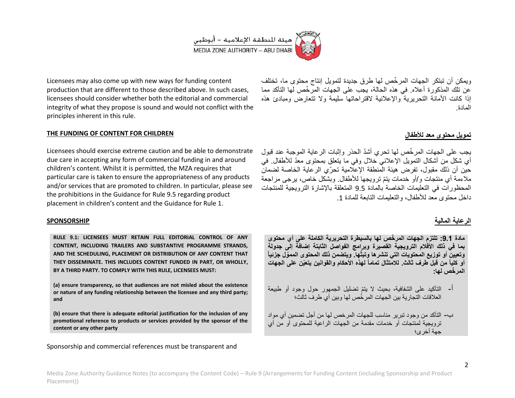

Licensees may also come up with new ways for funding content production that are different to those described above. In such cases, licensees should consider whether both the editorial and commercial integrity of what they propose is sound and would not conflict with the principles inherent in this rule.

### **THE FUNDING OF CONTENT FOR CHILDREN**

Licensees should exercise extreme caution and be able to demonstrate due care in accepting any form of commercial funding in and around children's content. Whilst it is permitted, the MZA requires that particular care is taken to ensure the appropriateness of any products and/or services that are promoted to children. In particular, please see the prohibitions in the Guidance for Rule 9.5 regarding product placement in children's content and the Guidance for Rule 1.

#### **SPONSORSHIP**

**RULE 9.1: LICENSEES MUST RETAIN FULL EDITORIAL CONTROL OF ANY CONTENT, INCLUDING TRAILERS AND SUBSTANTIVE PROGRAMME STRANDS, AND THE SCHEDULING, PLACEMENT OR DISTRIBUTION OF ANY CONTENT THAT THEY DISSEMINATE. THIS INCLUDES CONTENT FUNDED IN PART, OR WHOLLY, BY A THIRD PARTY. TO COMPLY WITH THIS RULE, LICENSEES MUST:**

**(a) ensure transparency, so that audiences are not misled about the existence or nature of any funding relationship between the licensee and any third party; and**

**(b) ensure that there is adequate editorial justification for the inclusion of any promotional reference to products or services provided by the sponsor of the content or any other party** 

Sponsorship and commercial references must be transparent and

ويمكن أن تبتكر الجهات المرخّص لها طرق جديدة لتمويل إنتاج محتوى ما، تختلف عن تلك المذكورة أعلاه. في هذه الحالة، بجب على الجهات المرّ خّص لها التأكد مما إذا كانت الأمانة التحريرية والإعلانية لاقتراحاتها سليمة ولا تتعارض ومبادئ هذه المادة.

## **تموٌل محتوى معد لألطفال**

يجب على الجهات المر خّص لها تحري أشدّ الحذر وإثبات الر عاية الموجبة عند قبول أي شكل من أشكال التمويل الإعلاني خلال وفي ما يتعلق بمحتوى معدّ للأطفال. في حين أن ذلك مقبول، تفرض هيئة المنطقة الإعلامية تحرّي الرعاية الخاصة لضمان ملاءمة أي منتجات و/أو خدمات يتمّ ترويجها للأطفال. وبشكل خاص، پر جي مر اجعة المحظورات في التعليمات الخاصة بالمادة 9.5 المتعلقة بالإشارة الترويجية للمنتجات داخل محتوى معد للأطفال، والتعليمات التابعة للمادة 1.

## الرعاية المالية

**مادة :1.9 تلتزم الجهات المر ّخص لها بالسٌطرة التحرٌرٌة الكاملة على أي محتوى بما فً ذلك األفالم التروٌجٌة القصٌرة وبرامج الفواصل الثابتة إضافة إلى جدولة وتعٌٌن أو توزٌع المحتوٌات التً تنشرها وتبث ئٌاً ّها. وٌتضمن ذلك المحتوى الممّول جز أو كلٌاً من قبل طرف ثالث. لالمتثال تماماً لهذه األحكام والقوانٌن ٌتعٌّن على الجهات المر ّخص لها:**

- أ- التأكيد على الشفافية، بحيث لا يتمّ تضليل الجمهور حول وجود أو طبيعة العلاقات التجار بة بين الجهات المر خُص لها وبين أي طرف ثالث؛
- ب– التأكد من وجود تبر بر مناسب للجهات المر خص لها من أجل تضمين أي مواد تر ويجية لمنتجات أو خدمات مقدمة من الجهات الراعية للمحتوى أو من أي جهة أخرى؛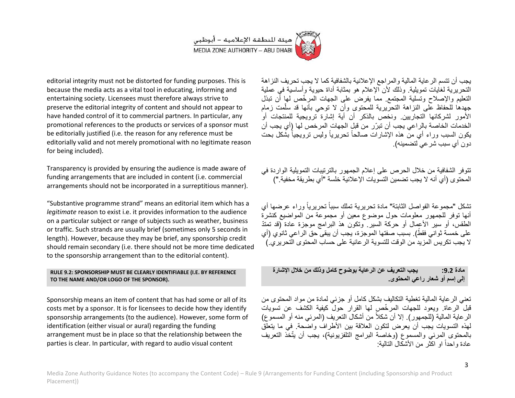

editorial integrity must not be distorted for funding purposes. This is because the media acts as a vital tool in educating, informing and entertaining society. Licensees must therefore always strive to preserve the editorial integrity of content and should not appear to have handed control of it to commercial partners. In particular, any promotional references to the products or services of a sponsor must be editorially justified (i.e. the reason for any reference must be editorially valid and not merely promotional with no legitimate reason for being included).

Transparency is provided by ensuring the audience is made aware of funding arrangements that are included in content (i.e. commercial arrangements should not be incorporated in a surreptitious manner).

"Substantive programme strand" means an editorial item which has a *legitimate* reason to exist i.e. it provides information to the audience on a particular subject or range of subjects such as weather, business or traffic. Such strands are usually brief (sometimes only 5 seconds in length). However, because they may be brief, any sponsorship credit should remain secondary (i.e. there should not be more time dedicated to the sponsorship arrangement than to the editorial content).

#### **RULE 9.2: SPONSORSHIP MUST BE CLEARLY IDENTIFIABLE (I.E. BY REFERENCE TO THE NAME AND/OR LOGO OF THE SPONSOR).**

Sponsorship means an item of content that has had some or all of its costs met by a sponsor. It is for licensees to decide how they identify sponsorship arrangements (to the audience). However, some form of identification (either visual or aural) regarding the funding arrangement must be in place so that the relationship between the parties is clear. In particular, with regard to audio visual content

يجب أن تتسم الر عاية المالية والمراجع الإعلانية بالشفافية كما لا يجب تحريف النزاهة التحريرية لغايات تمويلية. وذلك لأن الإعلام هو بمثابة أداة حيوية وأساسية في عملية التعليم والإصلاح وتسلية المجتمع. مما يفرض على الجهات المر خّص لها أن تبذل جهدها للحفاظ على النزاهة التحرّيرية للمحتوى وأن لا توحى بأنها قد سلّمت زمام الأمور لشركائها التجاريين. ونخص بالذكر أن أية إشارة ترويجية للمنتجات أو الخدمات الخاصة بالراعي يجب أن تبرّر من قبل الجهات المرخص لها (أي يجب أن يكون السبب وراء أي منّ هذه الإشارات صالحاً تحريرياً وليس ترويجياً بشْكل بحت دون أي سبب شر عي لتضمينه).

تتوفر الشفافية من خلال الحرص على إعلام الجمهور بالترتيبات التمويلية الواردة في المحتوى (أي أنه لا بجب تضمين التسويات الإعلانية خلسة "أي بطر بقة مخفية ")

تشكل "مجموعة الفواصل الثابتة" مادة تحريرية تملك سبباً تحريرياً وراء عرضها أي أنها توفر للجمهور معلومات حول موضوع معين أو مجموعة من المواضيع كنشرة الطقس، أو سبر الأعمال أو حركة السير. وتكون هذ البرامج موجزة عادة (قد تمتّدّ على خَمسةً ثواني فقطً). بسبب صفتها الموجزة، يُجب أن يبقى حقّ الراعي ثانوُي (أي لا بجب تكر بس المزيد من الوقت للتسوية الرعائية على حساب المحتوى التحريري.)

**مادة :9.9 ٌجب التعرٌف عن الرعاٌة بوضوح كامل وذلك من خالل اإلشارة إلى إسم أو شعار راعً المحتوى.**

تعني الر عاية المالية تغطية التكاليف بشكل كامل أو جزئي لمادة من مواد المحتوى من قبل الرعاة. وبعود للجهات المر خّص لها القرار حولٌ كبفية الكشف عن تسويات الر عاية المالية (للجمهور ). إلا أن شكلاً من أشكال التعريف (المرئي منه أو المسموع) لهذه التسويات يُجب أن يعرض لتكون العلاقة بين الأطراف واضحة. في ما يتعلّق بالمحتوى المرئي والمسموع (وخاصة البرامج التلفزيونية)، يجب أن يتّخذ التعريف عادة واحداً او اكثر من الأشكال التالية: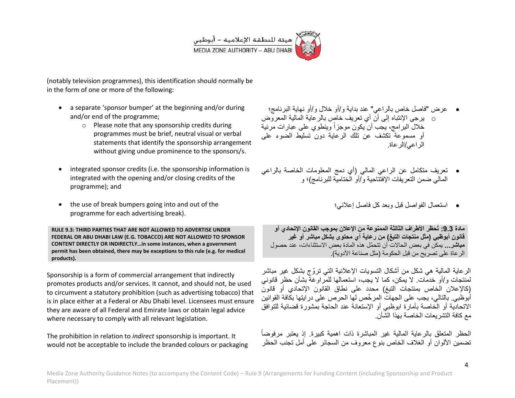

(notably television programmes), this identification should normally be in the form of one or more of the following:

- a separate 'sponsor bumper' at the beginning and/or during and/or end of the programme;
	- o Please note that any sponsorship credits during programmes must be brief, neutral visual or verbal statements that identify the sponsorship arrangement without giving undue prominence to the sponsors/s.
- integrated sponsor credits (i.e. the sponsorship information is integrated with the opening and/or closing credits of the programme); and
- the use of break bumpers going into and out of the programme for each advertising break).

**RULE 9.3: THIRD PARTIES THAT ARE NOT ALLOWED TO ADVERTISE UNDER FEDERAL OR ABU DHABI LAW (E.G. TOBACCO) ARE NOT ALLOWED TO SPONSOR CONTENT DIRECTLY OR INDIRECTLY…in some instances, when a government permit has been obtained, there may be exceptions to this rule (e.g. for medical products).** 

Sponsorship is a form of commercial arrangement that indirectly promotes products and/or services. It cannot, and should not, be used to circumvent a statutory prohibition (such as advertising tobacco) that is in place either at a Federal or Abu Dhabi level. Licensees must ensure they are aware of all Federal and Emirate laws or obtain legal advice where necessary to comply with all relevant legislation.

The prohibition in relation to *indirect* sponsorship is important. It would not be acceptable to include the branded colours or packaging

 عرض "فاصل خاص بالراعً" عند بداٌة و/أو خالل و/أو نهاٌة البرنامج؛ o ٌرجى اإلنتباه إلى أن أي تعرٌف خاص بالرعاٌة المالٌة المعروض خلال البرامج، يجب أن يكون موجزاً وينطوي على عبارات مرئية أو مسموعة تكشف عن تلك الرعاية دون تسليط الضوء على الر اعبى/الر عاة.

- تعرٌف متكامل عن الراعً المالً )أي دمج المعلومات الخاصة بالراعً المالي ضمن التعريفات الإفتتاحية و/أو الختاميّة للبرنامج)؛ و
	- استعمال الفواصل قبل وبعد كل فاصل إعالنً؛

**مادة :1.9 ُتحظر األطراف الثالثة الممنوعة من اإلعالن بموجب القانون اإلتحادي أو قانون أبوظبً )مثل منتجات التبغ( من رعاٌة أي محتوى بشكل مباشر أو غٌر مباشر...** ٌمكن فً بعض الحاالت أن تتحمّل هذه المادة بعض االستثناءات، عند حصول الر عاة على تصر بح من قبل الحكومة (مثل صناعة الأدوية)

الرعاية المالية هي شكل من أشكال التسويات الإعلانية التي تروّ ج بشكل غير مباشر لمنتجات و/أو خدمات. لا بمكن، كما لا بجب، استعمالها للمر او غة بشأن حظر قانوني )كاإلعالن الخاص بمنتجات التبغ( محدد على نطاق القانون اإلتحادي أو قانون أبوظبي. بالتالي، يجب على الجهات المرخّص لها الحرص على در ابتها بكافة القوانين االتحادٌة أو الخاصة بأمارة ابوظبً أو اإلستعانة عند الحاجة بمشورة قضائٌة للتوافق مع كافة التشر بعات الخاصة بهذا الشَّأن.

الحظر المتعلق بالرعاية المالية غير المباشرة ذات اهمية كبيرة. إذ يعتبر مرفوضاً تضمين الألوان أو الغلاف الخاص بنوع معروف من السجائر على أمل تجنب الحظر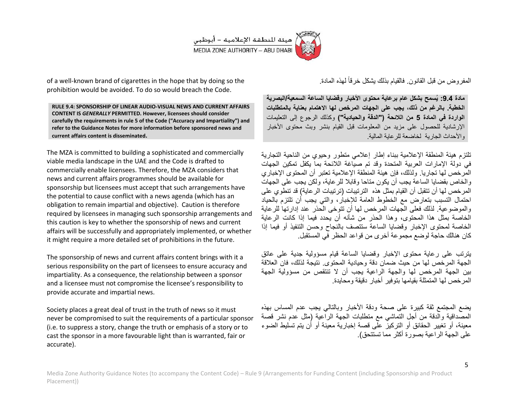

of a well-known brand of cigarettes in the hope that by doing so the prohibition would be avoided. To do so would breach the Code.

**RULE 9.4: SPONSORSHIP OF LINEAR AUDIO-VISUAL NEWS AND CURRENT AFFAIRS CONTENT IS** *GENERALLY* **PERMITTED. However, licensees should consider carefully the requirements in rule 5 of the Code ("Accuracy and Impartiality") and refer to the Guidance Notes for more information before sponsored news and current affairs content is disseminated.** 

The MZA is committed to building a sophisticated and commercially viable media landscape in the UAE and the Code is drafted to commercially enable licensees. Therefore, the MZA considers that news and current affairs programmes should be available for sponsorship but licensees must accept that such arrangements have the potential to cause conflict with a news agenda (which has an obligation to remain impartial and objective). Caution is therefore required by licensees in managing such sponsorship arrangements and this caution is key to whether the sponsorship of news and current affairs will be successfully and appropriately implemented, or whether it might require a more detailed set of prohibitions in the future.

The sponsorship of news and current affairs content brings with it a serious responsibility on the part of licensees to ensure accuracy and impartiality. As a consequence, the relationship between a sponsor and a licensee must not compromise the licensee's responsibility to provide accurate and impartial news.

Society places a great deal of trust in the truth of news so it must never be compromised to suit the requirements of a particular sponsor (i.e. to suppress a story, change the truth or emphasis of a story or to cast the sponsor in a more favourable light than is warranted, fair or accurate).

المفروض من قبل القانون. فالقيام بذلك يشكل خرقاً لمهذه المادة

**مادة :1.9 ٌُسمح بشكل عام برعاٌة محتوى األخبار وقضاٌا الساعة السمعٌة/البصرٌة الخطٌة. بالرغم من ذلك، ٌجب على الجهات المرخص لها االهتمام بعناٌة بالمتطلبات الواردة فً المادة 5 من الالئحة )"الدقة والحٌادٌة"(** وكذلك الرجوع إلى التعلٌمات الإرشادية للحصول على مزيد من المعلومات قبل القيام بنشر وبث محتوى الأخبار والأحداث الجار بة لخاضعة للرعاية المالية.

تلتزم هيئة المنطقة الإعلامية ببناء إطار إعلامي متطور وحيوي من الناحية التجارية في دولة الإمارات العربية المتحدة وقد تم صياغة اللائحة بما يكفل تمكين الجهات المر خص لها تجار يا. ولذلك، فإن هيئة المنطقة الإعلامية تعتبر أن المحتوى الإخبار ي والخاص بقضايا الساعة بجب أن بكون متاحا وقابلا للر عابة، ولكن بجب على الجهات المر خص لها أن تتقبل أن القيام بمثل هذه التر تبيات (تر تبيات الر عاية) قد تنطوي على احتمال التسبب بتعارض مع الخطوط العامة للإخبار ، والتي بجب أن تلتزم بالحباد والموضوعية لذلك فعلى الجهات المرخص لها أن تتوخى الحذر عند إدارتها للرعاية الخاصة بمثل هذا المحتوى، وهذا الحذر من شأنه أن يحدد فيما إذا كانت الرعابة الخاصة لمحتوى الإخبار وقضابا الساعة ستتصف بالنجاح وحسن التنفيذ أو فبما إذا كان هنالك حاجة لوضع مجموعة أخرى من قواعد الحظر فً المستقبل.

يترتب على رعاية محتوى الإخبار وقضايا الساعة قيام مسؤولية جدية على عاتق الجهة المر خص لها من حيث ضمان دقة وحيادية المحتوى. نتيجة لذلك، فان العلاقة بين الجهة المرخص لها والجهة الراعبة بجب أن لا تنتقص من مسؤولية الجهة المر خص لها المتمثلة بقيامها بتوفير أخبار دقيقة ومحابدة

يضع المجتمع ثقة كبيرة على صحة ودقة الأخبار وبالتالي بجب عدم المساس بهذه المصَّداقية والَّدقة من أجل التماشي مع متطلبات الجهة الراَّعية (مثل عدم نشر قصة معينة، أو تغيير الحقائق أو التركيز على قصة إخبارية معينة أو أن يتم تسليط الضوء على الجهة الراعية بصورة أكثر ًمما تستتحق).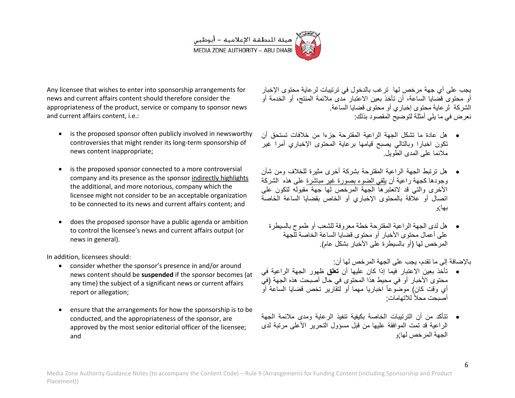

Any licensee that wishes to enter into sponsorship arrangements for news and current affairs content should therefore consider the appropriateness of the product, service or company to sponsor news and current affairs content, i.e.:

- is the proposed sponsor often publicly involved in newsworthy controversies that might render its long-term sponsorship of news content inappropriate;
- is the proposed sponsor connected to a more controversial company and its presence as the sponsor indirectly highlights the additional, and more notorious, company which the licensee might not consider to be an acceptable organization to be connected to its news and current affairs content; and
- does the proposed sponsor have a public agenda or ambition to control the licensee's news and current affairs output (or news in general).

In addition, licensees should:

- consider whether the sponsor's presence in and/or around news content should be **suspended** if the sponsor becomes (at any time) the subject of a significant news or current affairs report or allegation;
- ensure that the arrangements for how the sponsorship is to be conducted, and the appropriateness of the sponsor, are approved by the most senior editorial officer of the licensee; and

يجب على أي جهة مرخص لها ترغب بالدخول في ترتيبات لرعاية محتوى الإخبار أو محتوى قضايا الساعة، أن تأخذ بعين الاعتبار مدى ملائمة المنتج، أو الخدمة أو الشركة لر عابة محتوى إخباري أو محتوى قضابا الساعة. نعرض في ما يلي أمثلة لتوضيح المقصود بذلك:

- هل عادة ما تشكل الجهة الراعٌة المقترحة جزءا من خالفات تستحق أن تكون اخبارا وبالتالي بصبح قيامها برعاية المحتوى الإخباري أمرا غير مالئما على المدى الطوٌل.
- هل ترتبط الجهة الراعٌة المقترحة بشركة أخرى مثٌرة للخالف ومن شأن وجودها كجهة راعية أن ي<u>لقى الضوء بصور</u>ة غير مباشرة على هذه الشركة الأخرى والتي قد لاتعتبرها الجهة المرخص لها جهة مقبوله لتكون على اتصال أو عالقة بالمحتوى اإلخباري أو الخاص بقضاٌا الساعة الخاصة بها;و
	- هل لدى الجهة الراعٌة المقترحة خطة معروفة للشعب أو طموح بالسٌطرة على أعمال محتوى الأخبار أو محتوى قضايا الساعة الخاصة للجهة المر خص لها (أو بالسبطرة على الأخبار بشكل عام).

باإلضافة إلى ما تقدم، ٌجب على الجهة المرخص لها أن:

- تأخذ بعين الاعتبار فيما إذا كان عليها أن **تعلق** ظهور الجهة الراعية في محتوى الأخبار أو في محيط هذا المحتوى في حال أصبحت هذه الجهة (فيّ أي وقت كان) موضوعاً اخباريا مهما أو لتقارير تخص قضايا الساعةُ أو أصبحت محلاً للاتهامات;
- نتأكد من أن التر تبيات الخاصة بكيفية تنفيذ الرعاية ومدى ملائمة الجهة الراعبة قد تمت الموافقة عليها من قبل مسؤول التحرير الأعلى مرتبة لدى الجهة المرخص لها;و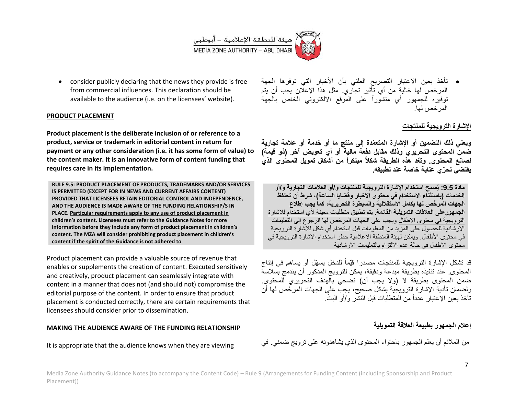

 consider publicly declaring that the news they provide is free from commercial influences. This declaration should be available to the audience (i.e. on the licensees' website).

### **PRODUCT PLACEMENT**

**Product placement is the deliberate inclusion of or reference to a product, service or trademark in editorial content in return for payment or any other consideration (i.e. it has some form of value) to the content maker. It is an innovative form of content funding that requires care in its implementation.**

**RULE 9.5: PRODUCT PLACEMENT OF PRODUCTS, TRADEMARKS AND/OR SERVICES IS PERMITTED (EXCEPT FOR IN NEWS AND CURRENT AFFAIRS CONTENT) PROVIDED THAT LICENSEES RETAIN EDITORIAL CONTROL AND INDEPENDENCE, AND THE AUDIENCE IS MADE AWARE OF THE FUNDING RELATIONSHIP/S IN PLACE. Particular requirements apply to any use of product placement in children's content. Licensees must refer to the Guidance Notes for more information before they include any form of product placement in children's content. The MZA will consider prohibiting product placement in children's content if the spirit of the Guidance is not adhered to**

Product placement can provide a valuable source of revenue that enables or supplements the creation of content. Executed sensitively and creatively, product placement can seamlessly integrate with content in a manner that does not (and should not) compromise the editorial purpose of the content. In order to ensure that product placement is conducted correctly, there are certain requirements that licensees should consider prior to dissemination.

#### **MAKING THE AUDIENCE AWARE OF THE FUNDING RELATIONSHIP**

It is appropriate that the audience knows when they are viewing

• تأخذ بعين الاعتبار التصريح العلني بأن الأخبار التي توفرها الجهة المرخص لها خالية من أي تأثير تجاري. مثل هذا الإعلان يجب أن يتم توفيره للجمهور أي منشوراً على الموقع الالكتروني الخاص بالجهة المرخص لها.

## الإشارة الترويجية للمنتجا*ت*

**وٌعنً ذلك التضمٌن أو اإلشارة المتعّمدة إلى منتج ما أو خدمة أو عالمة تجارٌة ضمن المحتوى التحرٌري وذلك مقابل دفعة مالٌة أو أي تعوٌض آخر )ذو قٌمة( لصانع المحتوى. وتّعد هذه الطرٌقة شكالً مبتكراً من أشكال تموٌل المحتوى الذي ٌقتضً تح ّري عناٌة خاصة عند تطبٌقه.**

**مادة :1.5 ٌُسمح استخدام اإلشارة التروٌجٌة للمنتجات و/أو العالمات التجارٌة و/أو الخدمات )باستثناء االستخدام فً محتوى االخبار وقضاٌا الساعة(، شرط أن تحتفظ الجهات المر ّخص لها بكامل االستقاللٌة والسٌطرة التحرٌرٌة، كما ٌجب إطالع** ا**لجمهور على العلاقات التمويلية القائمة**. بتم تطبيق متطلبات معينة لأي استخدام للاشارة التر و يجية في محتوى الاطفال و يجب على الجهات المر خص لها الرجوع إلى التعليمات الار شادية للحصول على المزيد من المعلومات قبل استخدام أي شكل للاشار ة الترويجية في محتوى الأطفال. ويمكن لهيئة المنطقة الإعلامية حظر استخدام الإشار ة التر ويجية في محتوى الاطفال في حالة عدم الالتزام بالتعليمات الارشادية

قد تشكل الإشارة الترويجية للمنتجات مصدرا قيّماً للدخل يسهّل أو يساهم في إنتاج المحتوى عند تنفيذه بطريقة مبدعة ودقيقة، بمكن للترويج المذكور أن بندمج بسلاسة ضمن المحتوى بطريقة لا (ولا يجب أن) تضحى بالهدف التحريري للمحتوى. ولضمان تأدية الإشارة الترويجية بشكل صحيح، يجب على الجهات المرخّص لها أن تأخذ بعين الإعتبار عدداً من المتطلبات قبل النشر و/أو البثّ

## إعلام الج*م*هور بطبيعة العلاقة التمويلية

من الملائم أن يعلم الجمهور باحتواء المحتوى الذي يشاهدونه على ترويج ضمني. في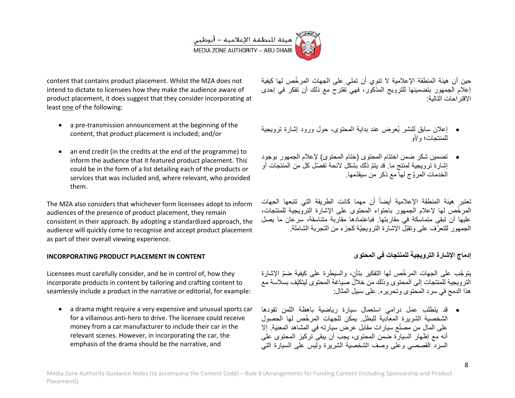

content that contains product placement. Whilst the MZA does not intend to dictate to licensees how they make the audience aware of product placement, it does suggest that they consider incorporating at least one of the following:

- a pre-transmission announcement at the beginning of the content, that product placement is included; and/or
- an end credit (in the credits at the end of the programme) to inform the audience that it featured product placement. This could be in the form of a list detailing each of the products or services that was included and, where relevant, who provided them.

The MZA also considers that whichever form licensees adopt to inform audiences of the presence of product placement, they remain consistent in their approach. By adopting a standardized approach, the audience will quickly come to recognise and accept product placement as part of their overall viewing experience.

### **INCORPORATING PRODUCT PLACEMENT IN CONTENT**

Licensees must carefully consider, and be in control of, how they incorporate products in content by tailoring and crafting content to seamlessly include a product in the narrative or editorial, for example:

• a drama might require a very expensive and unusual sports car for a villainous anti-hero to drive. The licensee could receive money from a car manufacturer to include their car in the relevant scenes. However, in incorporating the car, the emphasis of the drama should be the narrative, and

حين أن هيئة المنطقة الإعلامية لا تنوي أن تملِّي على الجهات المرخّص لها كيفية إعلام الجمهور بتضمينها للترويج المذكور، فهي تقترح مع ذلك أن تفكر في إحدى االقتراحات التالٌة:

- إعالن سابق للنشر ٌُعرض عند بداٌة المحتوى، حول ورود إشارة تروٌجٌة للمنتجات؛ و/أو
- تضمين شكر ضمن اختتام المحتوى (ختام المحتوى) لإعلام الجمهور بوجود إشارة ترويجية لمنتج ما. قد يتمّ ذلك بشكل لائحة تفصّل كل من المنتجات أو الخدمات المرّوج لها مع ذكر من سٌقّدمها.

تعتبر هيئة المنطقة الإعلامية أيضاً أن مهما كانت الطريقة التي تتبعها الجهات المر خّص لها لإعلام الجمهور باحتواء المحتوى على الإشارة الترويجية للمنتجات، عليها أن تبقى متماسكة في مقاربتها. فباعتمادها مقاربة متناسقة، سرعان ما بصل الجمهور للتعرّف على وتقبّل الإشارة الترويجيّة كجزء من التجربة الشاملة.

## إدماج الإشارة الترويجية للمنتجات ف*ي* المحتوى

يتوجّب على الجهات المرخّص لها التفكير بتأنٍ، والسيطرة على كيفية ضمّ الإشارة الترويجية للمنتجات إلى المحتوى وذلك من خلالٌ صياغة المحتوى ليتكيّف بسلاسة مع هذا الدمج في سرد المحتوى وتحريره. على سبيل المثال:

 قد ٌتطلب عمل درامً استعمال سٌارة رٌاضٌة باهظة الثمن تقودها الشخصية الشريرة المعادية للبطل. يمكن للجهات المر خّص لها الحصول على المال من مصنّع سبار ات مقابل عرض سبار ته في المشاهد المعنبة. إلا أنه مع إظهار السيار ة ضمن المحتوى، يجب أن يبقى تركيز المحتوى على السردّ القصصـي وعلى وصف الشخصية الشريرة وليس على السيارة التي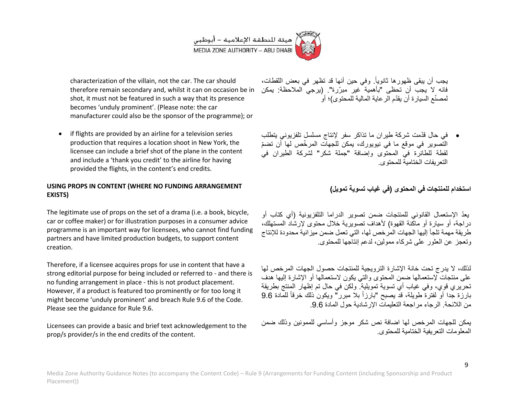

characterization of the villain, not the car. The car should therefore remain secondary and, whilst it can on occasion be in shot, it must not be featured in such a way that its presence becomes 'unduly prominent'. (Please note: the car manufacturer could also be the sponsor of the programme); or

• if flights are provided by an airline for a television series production that requires a location shoot in New York, the licensee can include a brief shot of the plane in the content and include a 'thank you credit' to the airline for having provided the flights, in the content's end credits.

## **USING PROPS IN CONTENT (WHERE NO FUNDING ARRANGEMENT EXISTS)**

The legitimate use of props on the set of a drama (i.e. a book, bicycle, car or coffee maker) or for illustration purposes in a consumer advice programme is an important way for licensees, who cannot find funding partners and have limited production budgets, to support content creation.

Therefore, if a licensee acquires props for use in content that have a strong editorial purpose for being included or referred to - and there is no funding arrangement in place - this is not product placement. However, if a product is featured too prominently or for too long it might become 'unduly prominent' and breach Rule 5.6 of the Code. Please see the guidance for Rule 9.6.

Licensees can provide a basic and brief text acknowledgement to the prop/s provider/s in the end credits of the content.

يجب أن يبقى ظهورها ثانوياً. وفي حين أنها قد تظهر في بعض اللقطات، فانه لا يجب أن تحظى "بأهمية غير مبرّرة". (يرجى الملاحظة: يمكن لمصنّع السبار ة أن بقدّم الرعاية المالية للمحتوى)؛ أو

 فً حال قّدمت شركة طٌران ما تذاكر سفر إلنتاج مسلسل تلفزٌونً ٌتطلب التّصوير في موقع ما في نيويورك، يمكن للجهاّت المرخّص لها أن تضمّ لقطة للطائرة في المحتوى وإضافة "جملة شكر" لشركة الطيران في التعر بفات الختامية للمحتوى.

**استخدام للمنتجات فً المحتوى )فً غٌاب تسوٌة تموٌل(**

يعدّ الإستعمال القانوني للمنتجات ضمن تصوير الدراما التلفزيونية (أي كتاب أو در اجة، أو سيار ة أو ماكنة القهوة) لأهداف تصوير ية خلال محتوى لإرشاد المستهلك، طريقة مهمة تلجأ إليها الجهات المرخص لها، التي تعمل ضمن ميز انية محدودة للإنتاج وتعجز عن العثور على شركاء ممولٌن، لدعم إنتاجها للمحتوى.

لذلك، لا بدرج تحت خانة الإشارة التروبجية للمنتجات حصول الجهات المرخص لها على منتجات لإستعمالها ضمن المحتوى والتي بكون لاستعمالها أو الإشارة إليها هدف تحريري قوي، وفي غياب أي تسوية تمويلية. ولكن في حال تم إظهار المنتج بطريقة بارزة جدا أو لفترة طويلة، قد يصبح "بارزاً بلا مبرر" ويكون ذلك خرقاً للمادة 9.6 من اللائحة. الرجاء مر اجعة التعليمات الإر شادية حول المادة 9.6.

يمكن للجهات المرخص لها اضافة نص شكر موجز وأساسي للممونين وذلك ضمن المعلو مات التعر يفية الختامية للمحتوى.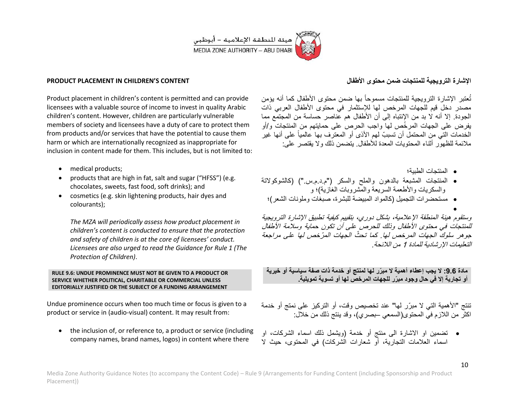

#### **PRODUCT PLACEMENT IN CHILDREN'S CONTENT**

Product placement in children's content is permitted and can provide licensees with a valuable source of income to invest in quality Arabic children's content. However, children are particularly vulnerable members of society and licensees have a duty of care to protect them from products and/or services that have the potential to cause them harm or which are internationally recognized as inappropriate for inclusion in content made for them. This includes, but is not limited to:

- medical products;
- products that are high in fat, salt and sugar ("HFSS") (e.g. chocolates, sweets, fast food, soft drinks); and
- cosmetics (e.g. skin lightening products, hair dyes and colourants);

*The MZA will periodically assess how product placement in children's content is conducted to ensure that the protection and safety of children is at the core of licensees' conduct. Licensees are also urged to read the Guidance for Rule 1 (The Protection of Children)*.

#### **RULE 9.6: UNDUE PROMINENCE MUST NOT BE GIVEN TO A PRODUCT OR SERVICE WHETHER POLITICAL, CHARITABLE OR COMMERCIAL UNLESS EDITORIALLY JUSTIFIED OR THE SUBJECT OF A FUNDING ARRANGEMENT**

Undue prominence occurs when too much time or focus is given to a product or service in (audio-visual) content. It may result from:

• the inclusion of, or reference to, a product or service (including company names, brand names, logos) in content where there

## الإشار ة التر و يجية للمنتجات ضمن محتو *ي* الأطفال

تُعتبر الإشارة الترويجية للمنتجات مسموحاً بها ضمن محتوى الأطفال كما أنه يؤمن مصدر دخل قيم للجهات المرخص لها للإستثمار في محتوى الأطفال العربي ذات الجودة. إال أنه ال بد من اإلنتباه إلى أن األطفال هم عناصر حساسة من المجتمع مما يفر ض على الجهات المر خّص لها واجب الحرص على حمايتهم من المنتجات و/أو الخدمات التي من المحتمل أن تسببّ لهم الأذى أو المعتر ف بها عالمباً على أنها غبر ملائمة للظهور أثناء المحتويات المعدة للأطفال. يتضمن ذلك والا يقتصر على:

- المنتجات الطبٌة؛
- المنتجات المشبعة بالدهون والملح والسكر )"م.د.م.س."( )كالشوكوالتة والسكر بات والأطعمة السر بعة والمشر وبات الغازية)؛ و
- مستحضرات التجميل (كالمواد المبيضة للبشرة، صبغات وملونات الشعر)؛
	- $\bullet$

وستقوم هيئة المنطقة الإعلامية، بشكل دوري، بتقييم كيفية تطبيق الإشارة الترويجية للمنتجات في محتوى الأطفال وذلك للحرص على أن تكون حماية وسلامة الأطفال جوهر سلوكَ الجهات المرخص لها. كما تحثّ الجهات المرّخص لها على مراجعة التعليمات الإر شادية للمادة 1 من اللائحة.

**مادة :1.9 ال ٌجب إعطاء أهمٌة ال مب ّرر لها لمنتج أو خدمة ذات صفة سٌاسٌة أو خٌرٌة أو تجارٌة إال فً حال وجود مب ّرر للجهات المرخص لها أو تسوٌة تموٌلٌة.**

تنتج "الأهمية التي لا مبرّر لها" عند تخصيص وقت، أو التركيز على نمتج أو خدمة اكثر من اللازم في المحتوى(السمعي –بصري)، وقد ينتج ذلك من خلال:

● تضمين او الاشارة الى منتج أو خدمة (ويشمل ذلك اسماء الشركات، او اسماء العلامات التجارية، أو شعارات الشركات) في المحتوى، حيث لا